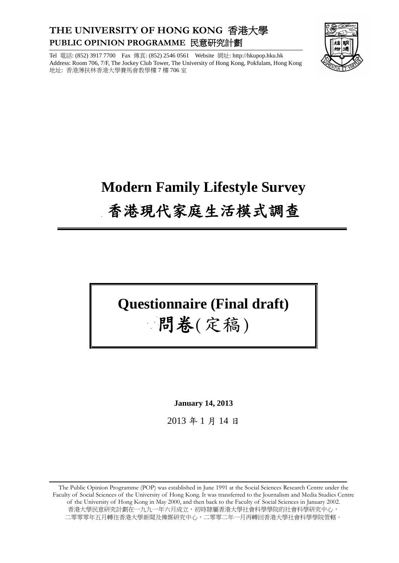## **THE UNIVERSITY OF HONG KONG** 香港大學 **PUBLIC OPINION PROGRAMME** 民意研究計劃

Tel 電話: (852) 3917 7700 Fax 傳真: (852) 2546 0561 Website 網址: http://hkupop.hku.hk Address: Room 706, 7/F, The Jockey Club Tower, The University of Hong Kong, Pokfulam, Hong Kong 地址: 香港薄扶林香港大學賽馬會教學樓 7 樓 706 室



# **Modern Family Lifestyle Survey** 香港現代家庭生活模式調查

## **Questionnaire (Final draft)**

## 問卷(定稿)

**January 14, 2013**

2013 年 1 月 14 日

The Public Opinion Programme (POP) was established in June 1991 at the Social Sciences Research Centre under the Faculty of Social Sciences of the University of Hong Kong. It was transferred to the Journalism and Media Studies Centre of the University of Hong Kong in May 2000, and then back to the Faculty of Social Sciences in January 2002. 香港大學民意研究計劃在一九九一年六月成立,初時隸屬香港大學社會科學學院的社會科學研究中心, 二零零零年五月轉往香港大學新聞及傳媒研究中心,二零零二年一月再轉回香港大學社會科學學院管轄。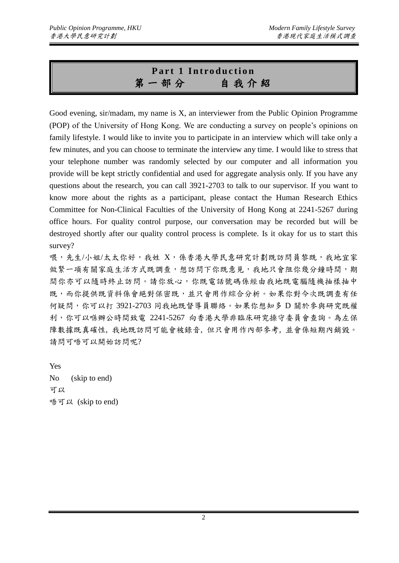## **Part 1 Introduction** 第一部分自 我 介 紹

Good evening, sir/madam, my name is X, an interviewer from the Public Opinion Programme (POP) of the University of Hong Kong. We are conducting a survey on people's opinions on family lifestyle. I would like to invite you to participate in an interview which will take only a few minutes, and you can choose to terminate the interview any time. I would like to stress that your telephone number was randomly selected by our computer and all information you provide will be kept strictly confidential and used for aggregate analysis only. If you have any questions about the research, you can call 3921-2703 to talk to our supervisor. If you want to know more about the rights as a participant, please contact the Human Research Ethics Committee for Non-Clinical Faculties of the University of Hong Kong at 2241-5267 during office hours. For quality control purpose, our conversation may be recorded but will be destroyed shortly after our quality control process is complete. Is it okay for us to start this survey?

喂,先生/小姐/太太你好, 我姓 X, 係香港大學民意研究計劃既訪問員黎既, 我地宜家 做緊一項有關家庭生活方式既調查,想訪問下你既意見,我地只會阻你幾分鐘時間,期 間你亦可以隨時終止訪問。請你放心,你既電話號碼係經由我地既電腦隨機抽樣抽中 既,而你提供既資料係會絕對保密既,並只會用作綜合分析。如果你對今次既調查有任 何疑問,你可以打 3921-2703 同我地既督導員聯絡。如果你想知多 D 關於參與研究既權 利,你可以喺辦公時間致電 2241-5267 向香港大學非臨床研究操守委員會查詢。為左保 障數據既真確性, 我地既訪問可能會被錄音, 但只會用作內部參考, 並會係短期內銷毀。 請問可唔可以開始訪問呢?

Yes No (skip to end) 可以 唔可以 (skip to end)

2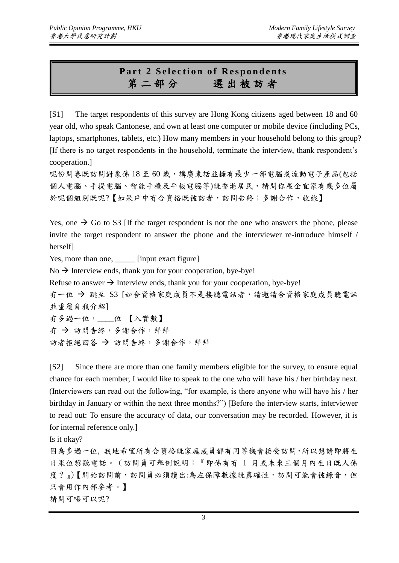### **Part 2 Selection of Respondents** 第二部分選 出 被 訪 者

[S1] The target respondents of this survey are Hong Kong citizens aged between 18 and 60 year old, who speak Cantonese, and own at least one computer or mobile device (including PCs, laptops, smartphones, tablets, etc.) How many members in your household belong to this group? [If there is no target respondents in the household, terminate the interview, thank respondent's cooperation.]

呢份問卷既訪問對象係18至60歲,講廣東話並擁有最少一部電腦或流動電子產品(包括 個人電腦、手提電腦、智能手機及平板電腦等)既香港居民,請問你屋企宜家有幾多位屬 於呢個組別既呢?【如果戶中冇合資格既被訪者,訪問告終;多謝合作,收線】

Yes, one  $\rightarrow$  Go to S3 [If the target respondent is not the one who answers the phone, please invite the target respondent to answer the phone and the interviewer re-introduce himself / herself]

Yes, more than one, [input exact figure]

 $No \rightarrow$  Interview ends, thank you for your cooperation, bye-bye!

Refuse to answer  $\rightarrow$  Interview ends, thank you for your cooperation, bye-bye!

有一位 → 跳至 S3 [如合資格家庭成員不是接聽電話者,請邀請合資格家庭成員聽電話 並重覆自我介紹]

有多過一位,\_\_\_\_位 【入實數】 冇 → 訪問告終,多謝合作,拜拜 訪者拒絕回答 → 訪問告終,多謝合作,拜拜

[S2] Since there are more than one family members eligible for the survey, to ensure equal chance for each member, I would like to speak to the one who will have his / her birthday next. (Interviewers can read out the following, "for example, is there anyone who will have his / her birthday in January or within the next three months?") [Before the interview starts, interviewer to read out: To ensure the accuracy of data, our conversation may be recorded. However, it is for internal reference only.]

Is it okay?

因為多過一位, 我地希望所有合資格既家庭成員都有同等機會接受訪問,所以想請即將生 日果位黎聽電話。(訪問員可舉例說明:『即係有冇 1 月或未來三個月內生日既人係 度?』)【開始訪問前,訪問員必須讀出:為左保障數據既真確性,訪問可能會被錄音,但 只會用作內部參考。】 請問可唔可以呢?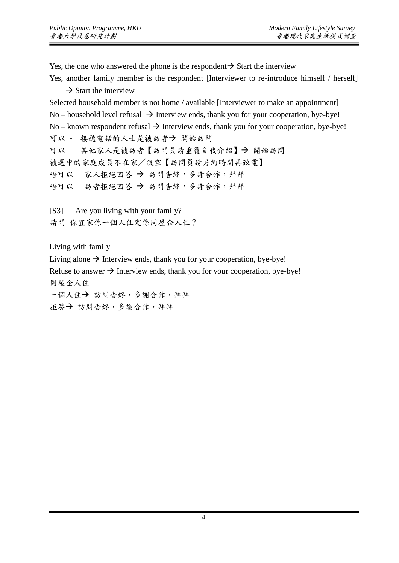Yes, the one who answered the phone is the respondent  $\rightarrow$  Start the interview

Yes, another family member is the respondent [Interviewer to re-introduce himself / herself]  $\rightarrow$  Start the interview

Selected household member is not home / available [Interviewer to make an appointment] No – household level refusal  $\rightarrow$  Interview ends, thank you for your cooperation, bye-bye! No – known respondent refusal  $\rightarrow$  Interview ends, thank you for your cooperation, bye-bye! 可以 - 接聽電話的人士是被訪者→開始訪問 可以 - 其他家人是被訪者【訪問員請重覆自我介紹】→ 開始訪問 被選中的家庭成員不在家/沒空【訪問員請另約時間再致電】 唔可以 - 家人拒絕回答 → 訪問告終,多謝合作,拜拜 唔可以 - 訪者拒絕回答 → 訪問告終,多謝合作,拜拜

[S3] Are you living with your family? 請問 你宜家係一個人住定係同屋企人住?

Living with family

Living alone  $\rightarrow$  Interview ends, thank you for your cooperation, bye-bye! Refuse to answer  $\rightarrow$  Interview ends, thank you for your cooperation, bye-bye! 同屋企人住 一個人住→ 訪問告終,多謝合作,拜拜 拒答→ 訪問告終,多謝合作,拜拜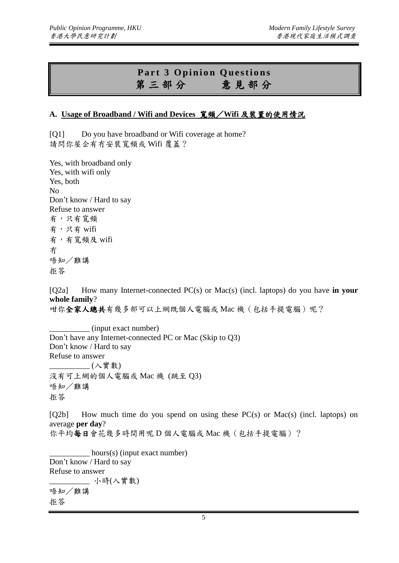### **Part 3 Opinion Questions** 第三部分意 見 部 分

#### **A. Usage of Broadband / Wifi and Devices** 寬頻/**Wifi** 及裝置的使用情況

[Q1] Do you have broadband or Wifi coverage at home? 請問你屋企有冇安裝寬頻或 Wifi 覆蓋?

Yes, with broadband only Yes, with wifi only Yes, both No Don't know / Hard to say Refuse to answer 有,只有寬頻 有,只有 wifi 有,有寬頻及 wifi 冇 唔知/難講 拒答

[Q2a] How many Internet-connected PC(s) or Mac(s) (incl. laptops) do you have **in your whole family**?

咁你全家人總共有幾多部可以上網既個人電腦或 Mac 機(包括手提電腦)呢?

\_\_\_\_\_\_\_\_\_\_ (input exact number) Don't have any Internet-connected PC or Mac (Skip to Q3) Don't know / Hard to say Refuse to answer \_\_\_\_\_\_\_\_\_\_ (入實數) 沒有可上網的個人電腦或 Mac 機 (跳至 Q3) 唔知/難講 拒答

 $[O2b]$  How much time do you spend on using these  $PC(s)$  or Mac(s) (incl. laptops) on average **per day**? 你平均每日會花幾多時間用呢D個人電腦或 Mac 機(包括手提電腦)?

 $\equiv$  hours(s) (input exact number) Don't know / Hard to say Refuse to answer \_\_\_\_\_\_\_\_\_\_ 小時(入實數) 唔知/難講 拒答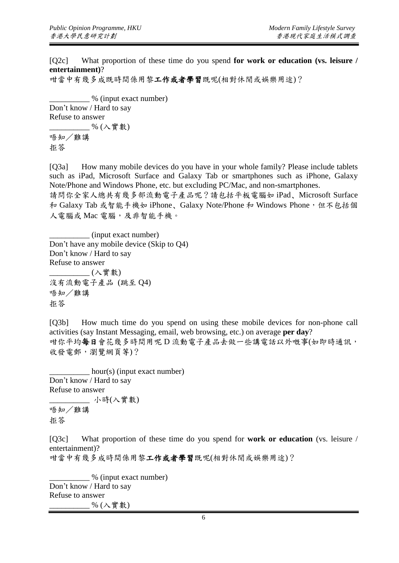[Q2c] What proportion of these time do you spend **for work or education (vs. leisure / entertainment)**?

咁當中有幾多成既時間係用黎工作或者學習既呢(相對休閒或娛樂用途)?

\_\_\_\_\_\_\_\_\_\_ % (input exact number) Don't know / Hard to say Refuse to answer \_\_\_\_\_\_\_\_\_\_ % (入實數) 唔知/難講

拒答

[O3a] How many mobile devices do you have in your whole family? Please include tablets such as iPad, Microsoft Surface and Galaxy Tab or smartphones such as iPhone, Galaxy Note/Phone and Windows Phone, etc. but excluding PC/Mac, and non-smartphones.

請問你全家人總共有幾多部流動電子產品呢?請包括平板電腦如 iPad﹑Microsoft Surface 和 Galaxy Tab 或智能手機如 iPhone、Galaxy Note/Phone 和 Windows Phone,但不包括個 人電腦或 Mac 電腦,及非智能手機。

\_\_\_\_\_\_\_\_\_\_ (input exact number) Don't have any mobile device (Skip to Q4) Don't know / Hard to say Refuse to answer \_\_\_\_\_\_\_\_\_\_ (入實數) 沒有流動電子產品 (跳至 Q4) 唔知/難講 拒答

[Q3b] How much time do you spend on using these mobile devices for non-phone call activities (say Instant Messaging, email, web browsing, etc.) on average **per day**? 咁你平均每日會花幾多時間用呢 D 流動電子產品去做一些講電話以外嘅事(如即時通訊, 收發雷郵,瀏覽網頁等)?

 $\_hour(s)$  (input exact number) Don't know / Hard to say Refuse to answer \_\_\_\_\_\_\_\_\_\_ 小時(入實數) 唔知/難講 拒答

[Q3c] What proportion of these time do you spend for **work or education** (vs. leisure / entertainment)?

咁當中有幾多成時間係用黎工作或者學習既呢(相對休閒或娛樂用途)?

 $\frac{1}{2}$  % (input exact number) Don't know / Hard to say Refuse to answer  $\%$  (入實數)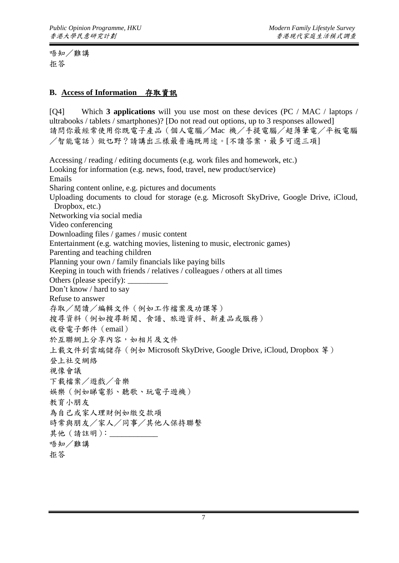唔知/難講 拒答

#### **B. Access of Information** 存取資訊

[Q4] Which **3 applications** will you use most on these devices (PC / MAC / laptops / ultrabooks / tablets / smartphones)? [Do not read out options, up to 3 responses allowed] 請問你最經常使用你既電子產品(個人電腦/Mac 機/手提電腦/超薄筆電/平板電腦 /智能電話)做乜野?請講出三樣最普遍既用途。[不讀答案,最多可選三項] Accessing / reading / editing documents (e.g. work files and homework, etc.) Looking for information (e.g. news, food, travel, new product/service) Emails Sharing content online, e.g. pictures and documents Uploading documents to cloud for storage (e.g. Microsoft SkyDrive, Google Drive, iCloud, Dropbox, etc.) Networking via social media Video conferencing Downloading files / games / music content Entertainment (e.g. watching movies, listening to music, electronic games) Parenting and teaching children Planning your own / family financials like paying bills Keeping in touch with friends / relatives / colleagues / others at all times Others (please specify): Don't know / hard to say Refuse to answer 存取/閱讀/編輯文件(例如工作檔案及功課等) 搜尋資料(例如搜尋新聞﹑食譜﹑旅遊資料﹑新產品或服務) 收發電子郵件(email) 於互聯網上分享內容,如相片及文件 上載文件到雲端儲存(例如 Microsoft SkyDrive, Google Drive, iCloud, Dropbox 等) 登上社交網絡 視像會議 下載檔案/遊戲/音樂 娛樂(例如睇電影、聽歌、玩電子遊機) 教育小朋友 為自己或家人理財例如繳交款項 時常與朋友/家人/同事/其他人保持聯繫 其他 (請註明): \_\_\_\_\_\_\_\_\_\_ 唔知/難講 拒答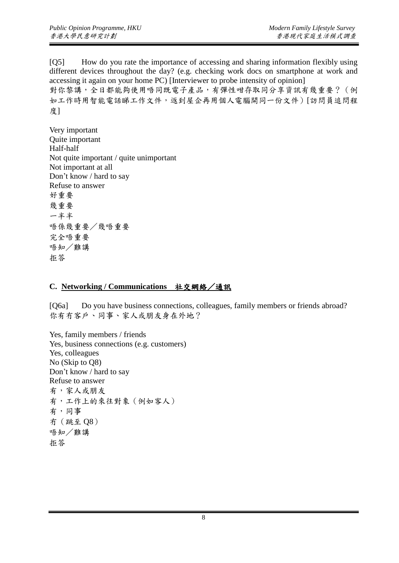[Q5] How do you rate the importance of accessing and sharing information flexibly using different devices throughout the day? (e.g. checking work docs on smartphone at work and accessing it again on your home PC) [Interviewer to probe intensity of opinion] 對你黎講,全日都能夠使用唔同既電子產品,有彈性咁存取同分享資訊有幾重要?(例 如工作時用智能電話睇工作文件,返到屋企再用個人電腦開同一份文件)[訪問員追問程 度]

Very important Quite important Half-half Not quite important / quite unimportant Not important at all Don't know / hard to say Refuse to answer 好重要 幾重要 一半半 唔係幾重要/幾唔重要 完全唔重要 唔知/難講 拒答

#### **C. Networking / Communications** 社交網絡/通訊

[Q6a] Do you have business connections, colleagues, family members or friends abroad? 你有冇客戶、同事、家人或朋友身在外地?

Yes, family members / friends Yes, business connections (e.g. customers) Yes, colleagues No (Skip to Q8) Don't know / hard to say Refuse to answer 有,家人或朋友 有,工作上的來往對象(例如客人) 有,同事 冇(跳至 Q8) 唔知/難講 拒答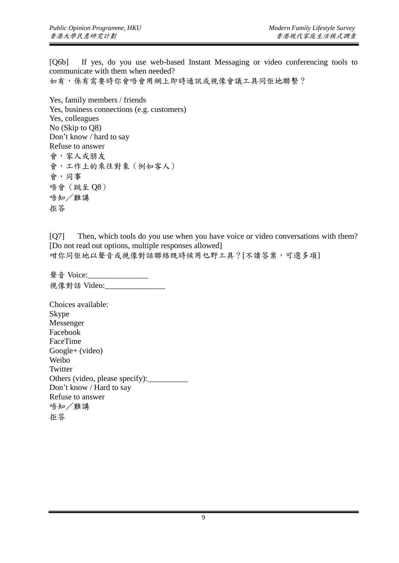[Q6b] If yes, do you use web-based Instant Messaging or video conferencing tools to communicate with them when needed? 如有,係有需要時你會唔會用網上即時通訊或視像會議工具同佢地聯繫?

Yes, family members / friends Yes, business connections (e.g. customers) Yes, colleagues No (Skip to Q8) Don't know / hard to say Refuse to answer 會,家人或朋友 會,工作上的來往對象(例如客人) 會,同事 唔會(跳至 Q8) 唔知/難講 拒答

[Q7] Then, which tools do you use when you have voice or video conversations with them? [Do not read out options, multiple responses allowed] 咁你同佢地以聲音或視像對話聯絡既時候用乜野工具?[不讀答案,可選多項]

聲音 Voice:\_\_\_\_\_\_\_\_ 視像對話 Video: \_\_\_\_\_\_\_\_\_\_\_\_\_\_

Choices available: Skype Messenger Facebook FaceTime Google+ (video) Weibo **Twitter** Others (video, please specify): Don't know / Hard to say Refuse to answer 唔知/難講 拒答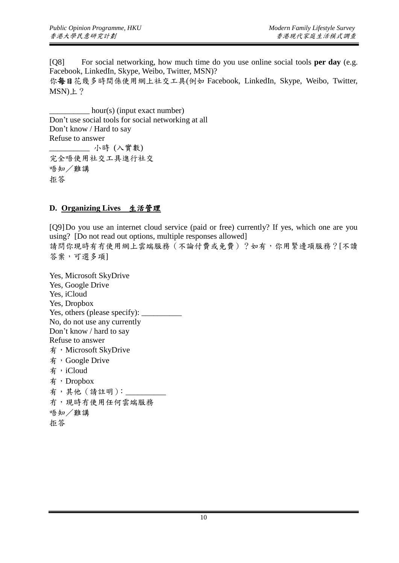[Q8] For social networking, how much time do you use online social tools **per day** (e.g. Facebook, LinkedIn, Skype, Weibo, Twitter, MSN)? 你每日花幾多時間係使用網上社交工具(例如 Facebook, LinkedIn, Skype, Weibo, Twitter, MSN)上?

 $\equiv$  hour(s) (input exact number) Don't use social tools for social networking at all Don't know / Hard to say Refuse to answer \_\_\_\_\_\_\_\_\_\_ 小時 (入實數) 完全唔使用社交工具進行社交 唔知/難講 拒答

#### **D. Organizing Lives** 生活管理

[Q9]Do you use an internet cloud service (paid or free) currently? If yes, which one are you using? [Do not read out options, multiple responses allowed] 請問你現時有冇使用網上雲端服務(不論付費或免費)?如有,你用緊邊項服務?[不讀 答案,可選多項]

Yes, Microsoft SkyDrive Yes, Google Drive Yes, iCloud Yes, Dropbox Yes, others (please specify): No, do not use any currently Don't know / hard to say Refuse to answer 有, Microsoft SkyDrive 有,Google Drive 有,iCloud 有,Dropbox 有,其他(請註明): 冇,現時冇使用任何雲端服務 唔知/難講 拒答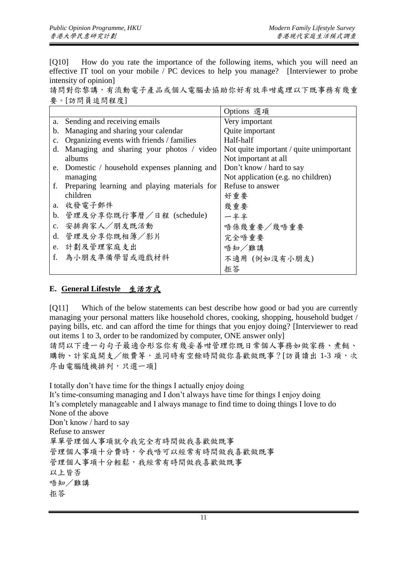[Q10] How do you rate the importance of the following items, which you will need an effective IT tool on your mobile / PC devices to help you manage? [Interviewer to probe intensity of opinion]

請問對你黎講,有流動電子產品或個人電腦去協助你好有效率咁處理以下既事務有幾重 要。[訪問員追問程度]

|                |                                                 | Options 選項                              |
|----------------|-------------------------------------------------|-----------------------------------------|
| a.             | Sending and receiving emails                    | Very important                          |
| b.             | Managing and sharing your calendar              | Quite important                         |
| $\mathbf{c}$ . | Organizing events with friends / families       | Half-half                               |
| d.             | Managing and sharing your photos / video        | Not quite important / quite unimportant |
|                | albums                                          | Not important at all                    |
|                | e. Domestic / household expenses planning and   | Don't know / hard to say                |
|                | managing                                        | Not application (e.g. no children)      |
|                | f. Preparing learning and playing materials for | Refuse to answer                        |
|                | children                                        | 好重要                                     |
|                | a. 收發電子郵件                                       | 幾重要                                     |
| b.             | 管理及分享你既行事曆/日程 (schedule)                        | 一半半                                     |
|                | c. 安排與家人/朋友既活動                                  | 唔係幾重要/幾唔重要                              |
| d.             | 管理及分享你既相簿/影片                                    | 完全唔重要                                   |
| e.             | 計劃及管理家庭支出                                       | 唔知/難講                                   |
| f.             | 為小朋友準備學習或遊戲材料                                   | 不適用(例如沒有小朋友)                            |
|                |                                                 | 拒答                                      |

#### **E. General Lifestyle** 生活方式

[Q11] Which of the below statements can best describe how good or bad you are currently managing your personal matters like household chores, cooking, shopping, household budget / paying bills, etc. and can afford the time for things that you enjoy doing? [Interviewer to read out items 1 to 3, order to be randomized by computer, ONE answer only] 請問以下邊一句句子最適合形容你有幾妥善咁管理你既日常個人事務如做家務、煮餸、 購物、計家庭開支/繳費等,並同時有空餘時間做你喜歡做既事?[訪員讀出 1-3 項,次 序由電腦隨機排列,只選一項]

I totally don't have time for the things I actually enjoy doing It's time-consuming managing and I don't always have time for things I enjoy doing It's completely manageable and I always manage to find time to doing things I love to do None of the above Don't know / hard to say Refuse to answer 單單管理個人事項就令我完全冇時間做我喜歡做既事 管理個人事項十分費時,令我唔可以經常有時間做我喜歡做既事 管理個人事項十分輕鬆,我經常有時間做我喜歡做既事 以上皆否 唔知/難講 拒答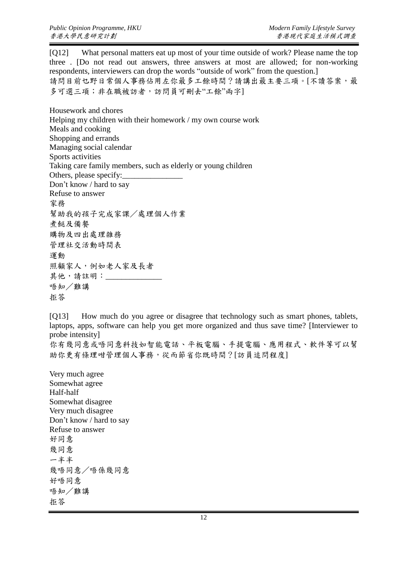[Q12] What personal matters eat up most of your time outside of work? Please name the top three . [Do not read out answers, three answers at most are allowed; for non-working respondents, interviewers can drop the words "outside of work" from the question.] 請問目前乜野日常個人事務佔用左你最多工餘時間?請講出最主要三項。[不讀答案,最 多可選三項;非在職被訪者,訪問員可刪去"工餘"兩字

Housework and chores Helping my children with their homework / my own course work Meals and cooking Shopping and errands Managing social calendar Sports activities Taking care family members, such as elderly or young children Others, please specify: Don't know / hard to say Refuse to answer 家務 幫助我的孩子完成家課/處理個人作業 煮餸及備餐 購物及四出處理雜務 管理社交活動時間表 運動 照顧家人,例如老人家及長者 其他,請註明: 唔知/難講 拒答

[Q13] How much do you agree or disagree that technology such as smart phones, tablets, laptops, apps, software can help you get more organized and thus save time? [Interviewer to probe intensity]

你有幾同意或唔同意科技如智能電話、平板電腦、手提電腦、應用程式、軟件等可以幫 助你更有條理咁管理個人事務,從而節省你既時間?[訪員追問程度]

Very much agree Somewhat agree Half-half Somewhat disagree Very much disagree Don't know / hard to say Refuse to answer 好同意 幾同意 一半半 幾唔同意/唔係幾同意 好唔同意 唔知/難講 拒答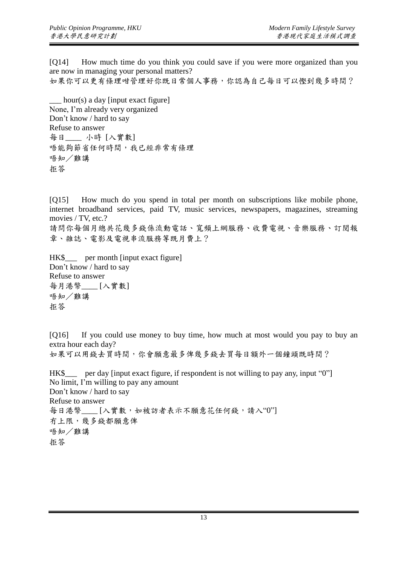[Q14] How much time do you think you could save if you were more organized than you are now in managing your personal matters? 如果你可以更有條理咁管理好你既日常個人事務,你認為自己每日可以慳到幾多時間?

hour(s) a day [input exact figure] None, I'm already very organized Don't know / hard to say Refuse to answer 每日\_\_\_\_ 小時 [入實數] 唔能夠節省任何時間,我已經非常有條理 唔知/難講 拒答

[Q15] How much do you spend in total per month on subscriptions like mobile phone, internet broadband services, paid TV, music services, newspapers, magazines, streaming movies / TV, etc.?

請問你每個月總共花幾多錢係流動電話、寬頻上網服務、收費電視、音樂服務、訂閱報 章、雜誌、電影及電視串流服務等既月費上?

HK\$ per month [input exact figure] Don't know / hard to say Refuse to answer 每月港幣\_\_\_\_ [入實數] 唔知/難講 拒答

[Q16] If you could use money to buy time, how much at most would you pay to buy an extra hour each day? 如果可以用錢去買時間,你會願意最多俾幾多錢去買每日額外一個鐘頭既時間?

HK\$ per day [input exact figure, if respondent is not willing to pay any, input "0"] No limit, I'm willing to pay any amount Don't know / hard to say Refuse to answer 每日港幣\_\_\_\_ [入實數,如被訪者表示不願意花任何錢,請入"0"] 冇上限,幾多錢都願意俾 唔知/難講 拒答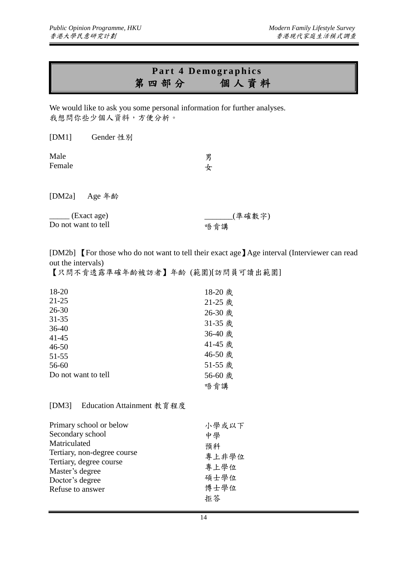## Part 4 Demographics 第四部分個 人 資 料

We would like to ask you some personal information for further analyses. 我想問你些少個人資料,方便分析。

| [DM1]                              | Gender 性別     |               |  |
|------------------------------------|---------------|---------------|--|
| Male<br>Female                     |               | 男<br>女        |  |
|                                    | [DM2a] Age 年齢 |               |  |
| (Exact age)<br>Do not want to tell |               | (準確數字)<br>唔肯講 |  |

[DM2b] 【For those who do not want to tell their exact age】Age interval (Interviewer can read out the intervals)

【只問不肯透露準確年齡被訪者】年齡 (範圍)[訪問員可讀出範圍]

| 18-20               | 18-20 歲 |
|---------------------|---------|
| $21 - 25$           | 21-25 歲 |
| $26 - 30$           | 26-30 歲 |
| $31 - 35$           | 31-35 歲 |
| $36-40$             | 36-40 歲 |
| $41 - 45$           |         |
| $46 - 50$           | 41-45 歲 |
| $51 - 55$           | 46-50 歲 |
| 56-60               | 51-55 歲 |
| Do not want to tell | 56-60 歲 |
|                     | 唔肯講     |

#### [DM3] Education Attainment 教育程度

| Primary school or below     | 小學或以下 |
|-----------------------------|-------|
| Secondary school            | 中學    |
| Matriculated                | 預科    |
| Tertiary, non-degree course | 專上非學位 |
| Tertiary, degree course     | 專上學位  |
| Master's degree             |       |
| Doctor's degree             | 碩士學位  |
| Refuse to answer            | 博士學位  |
|                             | 拒答    |